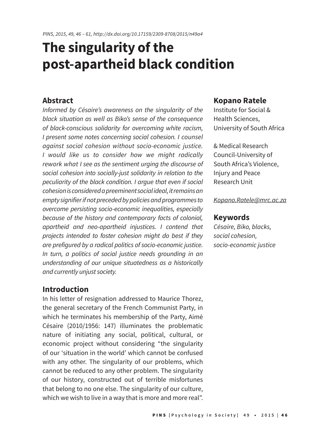# **The singularity of the post-apartheid black condition**

### **Abstract**

*Informed by Césaire's awareness on the singularity of the black situation as well as Biko's sense of the consequence of black-conscious solidarity for overcoming white racism, I present some notes concerning social cohesion. I counsel against social cohesion without socio-economic justice. I would like us to consider how we might radically rework what I see as the sentiment urging the discourse of social cohesion into socially-just solidarity in relation to the peculiarity of the black condition. I argue that even if social cohesion is considered a preeminent social ideal, it remains an empty signifier if not preceded by policies and programmes to overcome persisting socio-economic inequalities, especially because of the history and contemporary facts of colonial, apartheid and neo-apartheid injustices. I contend that projects intended to foster cohesion might do best if they are prefigured by a radical politics of socio-economic justice. In turn, a politics of social justice needs grounding in an understanding of our unique situatedness as a historically and currently unjust society.*

### **Introduction**

In his letter of resignation addressed to Maurice Thorez, the general secretary of the French Communist Party, in which he terminates his membership of the Party, Aimé Césaire (2010/1956: 147) illuminates the problematic nature of initiating any social, political, cultural, or economic project without considering "the singularity of our 'situation in the world' which cannot be confused with any other. The singularity of our problems, which cannot be reduced to any other problem. The singularity of our history, constructed out of terrible misfortunes that belong to no one else. The singularity of our culture, which we wish to live in a way that is more and more real".

#### **Kopano Ratele**

Institute for Social & Health Sciences, University of South Africa

& Medical Research Council-University of South Africa's Violence, Injury and Peace Research Unit

#### *Kopano.Ratele@mrc.ac.za*

#### **Keywords**

*Césaire, Biko, blacks, social cohesion, socio-economic justice*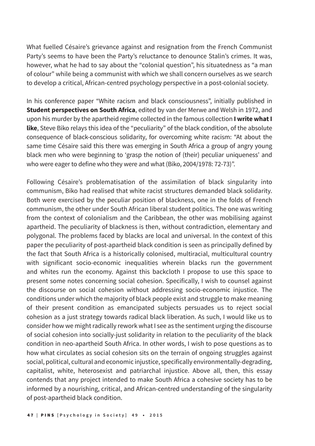What fuelled Césaire's grievance against and resignation from the French Communist Party's seems to have been the Party's reluctance to denounce Stalin's crimes. It was, however, what he had to say about the "colonial question", his situatedness as "a man of colour" while being a communist with which we shall concern ourselves as we search to develop a critical, African-centred psychology perspective in a post-colonial society.

In his conference paper "White racism and black consciousness", initially published in **Student perspectives on South Africa**, edited by van der Merwe and Welsh in 1972, and upon his murder by the apartheid regime collected in the famous collection **I write what I like**, Steve Biko relays this idea of the "peculiarity" of the black condition, of the absolute consequence of black-conscious solidarity, for overcoming white racism: "At about the same time Césaire said this there was emerging in South Africa a group of angry young black men who were beginning to 'grasp the notion of (their) peculiar uniqueness' and who were eager to define who they were and what (Biko, 2004/1978: 72-73)".

Following Césaire's problematisation of the assimilation of black singularity into communism, Biko had realised that white racist structures demanded black solidarity. Both were exercised by the peculiar position of blackness, one in the folds of French communism, the other under South African liberal student politics. The one was writing from the context of colonialism and the Caribbean, the other was mobilising against apartheid. The peculiarity of blackness is then, without contradiction, elementary and polygonal. The problems faced by blacks are local and universal. In the context of this paper the peculiarity of post-apartheid black condition is seen as principally defined by the fact that South Africa is a historically colonised, multiracial, multicultural country with significant socio-economic inequalities wherein blacks run the government and whites run the economy. Against this backcloth I propose to use this space to present some notes concerning social cohesion. Specifically, I wish to counsel against the discourse on social cohesion without addressing socio-economic injustice. The conditions under which the majority of black people exist and struggle to make meaning of their present condition as emancipated subjects persuades us to reject social cohesion as a just strategy towards radical black liberation. As such, I would like us to consider how we might radically rework what I see as the sentiment urging the discourse of social cohesion into socially-just solidarity in relation to the peculiarity of the black condition in neo-apartheid South Africa. In other words, I wish to pose questions as to how what circulates as social cohesion sits on the terrain of ongoing struggles against social, political, cultural and economic injustice, specifically environmentally-degrading, capitalist, white, heterosexist and patriarchal injustice. Above all, then, this essay contends that any project intended to make South Africa a cohesive society has to be informed by a nourishing, critical, and African-centred understanding of the singularity of post-apartheid black condition.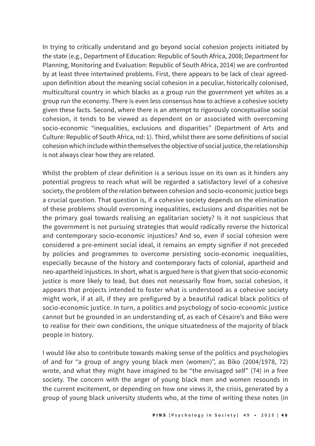In trying to critically understand and go beyond social cohesion projects initiated by the state (e.g., Department of Education: Republic of South Africa, 2008; Department for Planning, Monitoring and Evaluation: Republic of South Africa, 2014) we are confronted by at least three intertwined problems. First, there appears to be lack of clear agreedupon definition about the meaning social cohesion in a peculiar, historically colonised, multicultural country in which blacks as a group run the government yet whites as a group run the economy. There is even less consensus how to achieve a cohesive society given these facts. Second, where there is an attempt to rigorously conceptualise social cohesion, it tends to be viewed as dependent on or associated with overcoming socio-economic "inequalities, exclusions and disparities" (Department of Arts and Culture: Republic of South Africa, nd: 1). Third, whilst there are some definitions of social cohesion which include within themselves the objective of social justice, the relationship is not always clear how they are related.

Whilst the problem of clear definition is a serious issue on its own as it hinders any potential progress to reach what will be regarded a satisfactory level of a cohesive society, the problem of the relation between cohesion and socio-economic justice begs a crucial question. That question is, if a cohesive society depends on the elimination of these problems should overcoming inequalities, exclusions and disparities not be the primary goal towards realising an egalitarian society? Is it not suspicious that the government is not pursuing strategies that would radically reverse the historical and contemporary socio-economic injustices? And so, even if social cohesion were considered a pre-eminent social ideal, it remains an empty signifier if not preceded by policies and programmes to overcome persisting socio-economic inequalities, especially because of the history and contemporary facts of colonial, apartheid and neo-apartheid injustices. In short, what is argued here is that given that socio-economic justice is more likely to lead, but does not necessarily flow from, social cohesion, it appears that projects intended to foster what is understood as a cohesive society might work, if at all, if they are prefigured by a beautiful radical black politics of socio-economic justice. In turn, a politics and psychology of socio-economic justice cannot but be grounded in an understanding of, as each of Césaire's and Biko were to realise for their own conditions, the unique situatedness of the majority of black people in history.

I would like also to contribute towards making sense of the politics and psychologies of and for "a group of angry young black men (women)", as Biko (2004/1978, 72) wrote, and what they might have imagined to be "the envisaged self" (74) in a free society. The concern with the anger of young black men and women resounds in the current excitement, or depending on how one views it, the crisis, generated by a group of young black university students who, at the time of writing these notes (in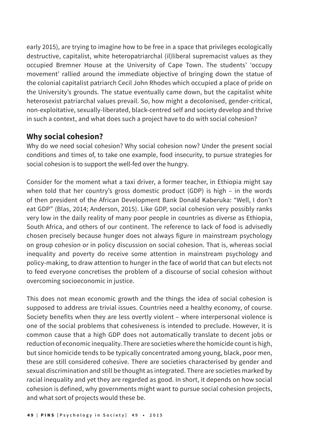early 2015), are trying to imagine how to be free in a space that privileges ecologically destructive, capitalist, white heteropatriarchal (il)liberal supremacist values as they occupied Bremner House at the University of Cape Town. The students' 'occupy movement' rallied around the immediate objective of bringing down the statue of the colonial capitalist patriarch Cecil John Rhodes which occupied a place of pride on the University's grounds. The statue eventually came down, but the capitalist white heterosexist patriarchal values prevail. So, how might a decolonised, gender-critical, non-exploitative, sexually-liberated, black-centred self and society develop and thrive in such a context, and what does such a project have to do with social cohesion?

## **Why social cohesion?**

Why do we need social cohesion? Why social cohesion now? Under the present social conditions and times of, to take one example, food insecurity, to pursue strategies for social cohesion is to support the well-fed over the hungry.

Consider for the moment what a taxi driver, a former teacher, in Ethiopia might say when told that her country's gross domestic product (GDP) is high – in the words of then president of the African Development Bank Donald Kaberuka: "Well, I don't eat GDP" (Blas, 2014; Anderson, 2015). Like GDP, social cohesion very possibly ranks very low in the daily reality of many poor people in countries as diverse as Ethiopia, South Africa, and others of our continent. The reference to lack of food is advisedly chosen precisely because hunger does not always figure in mainstream psychology on group cohesion or in policy discussion on social cohesion. That is, whereas social inequality and poverty do receive some attention in mainstream psychology and policy-making, to draw attention to hunger in the face of world that can but elects not to feed everyone concretises the problem of a discourse of social cohesion without overcoming socioeconomic in justice.

This does not mean economic growth and the things the idea of social cohesion is supposed to address are trivial issues. Countries need a healthy economy, of course. Society benefits when they are less overtly violent – where interpersonal violence is one of the social problems that cohesiveness is intended to preclude. However, it is common cause that a high GDP does not automatically translate to decent jobs or reduction of economic inequality. There are societies where the homicide count is high, but since homicide tends to be typically concentrated among young, black, poor men, these are still considered cohesive. There are societies characterised by gender and sexual discrimination and still be thought as integrated. There are societies marked by racial inequality and yet they are regarded as good. In short, it depends on how social cohesion is defined, why governments might want to pursue social cohesion projects, and what sort of projects would these be.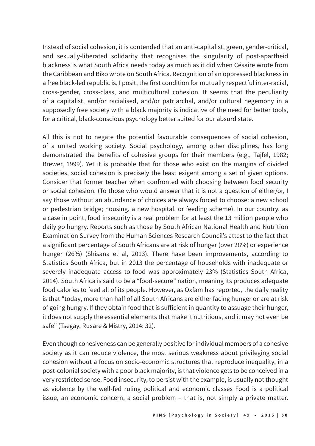Instead of social cohesion, it is contended that an anti-capitalist, green, gender-critical, and sexually-liberated solidarity that recognises the singularity of post-apartheid blackness is what South Africa needs today as much as it did when Césaire wrote from the Caribbean and Biko wrote on South Africa. Recognition of an oppressed blackness in a free black-led republic is, I posit, the first condition for mutually respectful inter-racial, cross-gender, cross-class, and multicultural cohesion. It seems that the peculiarity of a capitalist, and/or racialised, and/or patriarchal, and/or cultural hegemony in a supposedly free society with a black majority is indicative of the need for better tools, for a critical, black-conscious psychology better suited for our absurd state.

All this is not to negate the potential favourable consequences of social cohesion, of a united working society. Social psychology, among other disciplines, has long demonstrated the benefits of cohesive groups for their members (e.g., Tajfel, 1982; Brewer, 1999). Yet it is probable that for those who exist on the margins of divided societies, social cohesion is precisely the least exigent among a set of given options. Consider that former teacher when confronted with choosing between food security or social cohesion. (To those who would answer that it is not a question of either/or, I say those without an abundance of choices are always forced to choose: a new school or pedestrian bridge; housing, a new hospital, or feeding scheme). In our country, as a case in point, food insecurity is a real problem for at least the 13 million people who daily go hungry. Reports such as those by South African National Health and Nutrition Examination Survey from the Human Sciences Research Council's attest to the fact that a significant percentage of South Africans are at risk of hunger (over 28%) or experience hunger (26%) (Shisana et al, 2013). There have been improvements, according to Statistics South Africa, but in 2013 the percentage of households with inadequate or severely inadequate access to food was approximately 23% (Statistics South Africa, 2014). South Africa is said to be a "food-secure" nation, meaning its produces adequate food calories to feed all of its people. However, as Oxfam has reported, the daily reality is that "today, more than half of all South Africans are either facing hunger or are at risk of going hungry. If they obtain food that is sufficient in quantity to assuage their hunger, it does not supply the essential elements that make it nutritious, and it may not even be safe" (Tsegay, Rusare & Mistry, 2014: 32).

Even though cohesiveness can be generally positive for individual members of a cohesive society as it can reduce violence, the most serious weakness about privileging social cohesion without a focus on socio-economic structures that reproduce inequality, in a post-colonial society with a poor black majority, is that violence gets to be conceived in a very restricted sense. Food insecurity, to persist with the example, is usually not thought as violence by the well-fed ruling political and economic classes Food is a political issue, an economic concern, a social problem – that is, not simply a private matter.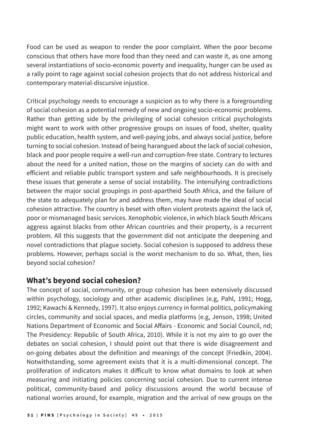Food can be used as weapon to render the poor complaint. When the poor become conscious that others have more food than they need and can waste it, as one among several instantiations of socio-economic poverty and inequality, hunger can be used as a rally point to rage against social cohesion projects that do not address historical and contemporary material-discursive injustice.

Critical psychology needs to encourage a suspicion as to why there is a foregrounding of social cohesion as a potential remedy of new and ongoing socio-economic problems. Rather than getting side by the privileging of social cohesion critical psychologists might want to work with other progressive groups on issues of food, shelter, quality public education, health system, and well-paying jobs, and always social justice, before turning to social cohesion. Instead of being harangued about the lack of social cohesion, black and poor people require a well-run and corruption-free state. Contrary to lectures about the need for a united nation, those on the margins of society can do with and efficient and reliable public transport system and safe neighbourhoods. It is precisely these issues that generate a sense of social instability. The intensifying contradictions between the major social groupings in post-apartheid South Africa, and the failure of the state to adequately plan for and address them, may have made the ideal of social cohesion attractive. The country is beset with often violent protests against the lack of, poor or mismanaged basic services. Xenophobic violence, in which black South Africans aggress against blacks from other African countries and their property, is a recurrent problem. All this suggests that the government did not anticipate the deepening and novel contradictions that plague society. Social cohesion is supposed to address these problems. However, perhaps social is the worst mechanism to do so. What, then, lies beyond social cohesion?

# **What's beyond social cohesion?**

The concept of social, community, or group cohesion has been extensively discussed within psychology, sociology and other academic disciplines (e.g, Pahl, 1991; Hogg, 1992; Kawachi & Kennedy, 1997). It also enjoys currency in formal politics, policymaking circles, community and social spaces, and media platforms (e.g, Jenson, 1998; United Nations Department of Economic and Social Affairs - Economic and Social Council, nd; The Presidency: Republic of South Africa, 2010). While it is not my aim to go over the debates on social cohesion, I should point out that there is wide disagreement and on-going debates about the definition and meanings of the concept (Friedkin, 2004). Notwithstanding, some agreement exists that it is a multi-dimensional concept. The proliferation of indicators makes it difficult to know what domains to look at when measuring and initiating policies concerning social cohesion. Due to current intense political, community-based and policy discussions around the world because of national worries around, for example, migration and the arrival of new groups on the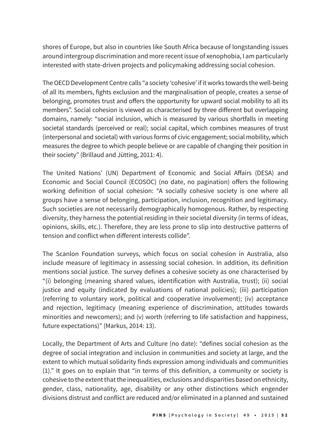shores of Europe, but also in countries like South Africa because of longstanding issues around intergroup discrimination and more recent issue of xenophobia, I am particularly interested with state-driven projects and policymaking addressing social cohesion.

The OECD Development Centre calls "a society 'cohesive' if it works towards the well-being of all its members, fights exclusion and the marginalisation of people, creates a sense of belonging, promotes trust and offers the opportunity for upward social mobility to all its members". Social cohesion is viewed as characterised by three different but overlapping domains, namely: "social inclusion, which is measured by various shortfalls in meeting societal standards (perceived or real); social capital, which combines measures of trust (interpersonal and societal) with various forms of civic engagement; social mobility, which measures the degree to which people believe or are capable of changing their position in their society" (Brillaud and Jütting, 2011: 4).

The United Nations' (UN) Department of Economic and Social Affairs (DESA) and Economic and Social Council (ECOSOC) (no date, no pagination) offers the following working definition of social cohesion: "A socially cohesive society is one where all groups have a sense of belonging, participation, inclusion, recognition and legitimacy. Such societies are not necessarily demographically homogenous. Rather, by respecting diversity, they harness the potential residing in their societal diversity (in terms of ideas, opinions, skills, etc.). Therefore, they are less prone to slip into destructive patterns of tension and conflict when different interests collide".

The Scanlon Foundation surveys, which focus on social cohesion in Australia, also include measure of legitimacy in assessing social cohesion. In addition, its definition mentions social justice. The survey defines a cohesive society as one characterised by "(i) belonging (meaning shared values, identification with Australia, trust); (ii) social justice and equity (indicated by evaluations of national policies); (iii) participation (referring to voluntary work, political and cooperative involvement); (iv) acceptance and rejection, legitimacy (meaning experience of discrimination, attitudes towards minorities and newcomers); and (v) worth (referring to life satisfaction and happiness, future expectations)" (Markus, 2014: 13).

Locally, the Department of Arts and Culture (no date): "defines social cohesion as the degree of social integration and inclusion in communities and society at large, and the extent to which mutual solidarity finds expression among individuals and communities (1)." It goes on to explain that "in terms of this definition, a community or society is cohesive to the extent that the inequalities, exclusions and disparities based on ethnicity, gender, class, nationality, age, disability or any other distinctions which engender divisions distrust and conflict are reduced and/or eliminated in a planned and sustained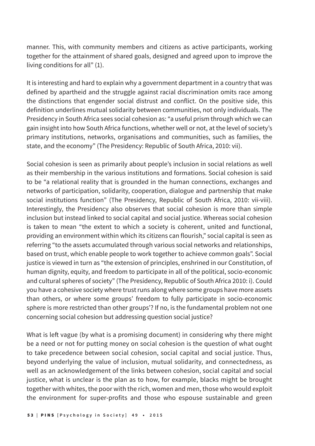manner. This, with community members and citizens as active participants, working together for the attainment of shared goals, designed and agreed upon to improve the living conditions for all" (1).

It is interesting and hard to explain why a government department in a country that was defined by apartheid and the struggle against racial discrimination omits race among the distinctions that engender social distrust and conflict. On the positive side, this definition underlines mutual solidarity between communities, not only individuals. The Presidency in South Africa sees social cohesion as: "a useful prism through which we can gain insight into how South Africa functions, whether well or not, at the level of society's primary institutions, networks, organisations and communities, such as families, the state, and the economy" (The Presidency: Republic of South Africa, 2010: vii).

Social cohesion is seen as primarily about people's inclusion in social relations as well as their membership in the various institutions and formations. Social cohesion is said to be "a relational reality that is grounded in the human connections, exchanges and networks of participation, solidarity, cooperation, dialogue and partnership that make social institutions function" (The Presidency, Republic of South Africa, 2010: vii-viii). Interestingly, the Presidency also observes that social cohesion is more than simple inclusion but instead linked to social capital and social justice. Whereas social cohesion is taken to mean "the extent to which a society is coherent, united and functional, providing an environment within which its citizens can flourish," social capital is seen as referring "to the assets accumulated through various social networks and relationships, based on trust, which enable people to work together to achieve common goals". Social justice is viewed in turn as "the extension of principles, enshrined in our Constitution, of human dignity, equity, and freedom to participate in all of the political, socio-economic and cultural spheres of society" (The Presidency, Republic of South Africa 2010: i). Could you have a cohesive society where trust runs along where some groups have more assets than others, or where some groups' freedom to fully participate in socio-economic sphere is more restricted than other groups'? If no, is the fundamental problem not one concerning social cohesion but addressing question social justice?

What is left vague (by what is a promising document) in considering why there might be a need or not for putting money on social cohesion is the question of what ought to take precedence between social cohesion, social capital and social justice. Thus, beyond underlying the value of inclusion, mutual solidarity, and connectedness, as well as an acknowledgement of the links between cohesion, social capital and social justice, what is unclear is the plan as to how, for example, blacks might be brought together with whites, the poor with the rich, women and men, those who would exploit the environment for super-profits and those who espouse sustainable and green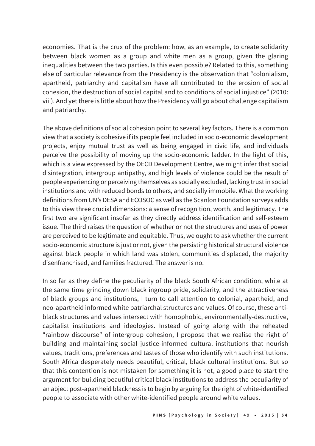economies. That is the crux of the problem: how, as an example, to create solidarity between black women as a group and white men as a group, given the glaring inequalities between the two parties. Is this even possible? Related to this, something else of particular relevance from the Presidency is the observation that "colonialism, apartheid, patriarchy and capitalism have all contributed to the erosion of social cohesion, the destruction of social capital and to conditions of social injustice" (2010: viii). And yet there is little about how the Presidency will go about challenge capitalism and patriarchy.

The above definitions of social cohesion point to several key factors. There is a common view that a society is cohesive if its people feel included in socio-economic development projects, enjoy mutual trust as well as being engaged in civic life, and individuals perceive the possibility of moving up the socio-economic ladder. In the light of this, which is a view expressed by the OECD Development Centre, we might infer that social disintegration, intergroup antipathy, and high levels of violence could be the result of people experiencing or perceiving themselves as socially excluded, lacking trust in social institutions and with reduced bonds to others, and socially immobile. What the working definitions from UN's DESA and ECOSOC as well as the Scanlon Foundation surveys adds to this view three crucial dimensions: a sense of recognition, worth, and legitimacy. The first two are significant insofar as they directly address identification and self-esteem issue. The third raises the question of whether or not the structures and uses of power are perceived to be legitimate and equitable. Thus, we ought to ask whether the current socio-economic structure is just or not, given the persisting historical structural violence against black people in which land was stolen, communities displaced, the majority disenfranchised, and families fractured. The answer is no.

In so far as they define the peculiarity of the black South African condition, while at the same time grinding down black ingroup pride, solidarity, and the attractiveness of black groups and institutions, I turn to call attention to colonial, apartheid, and neo-apartheid informed white patriarchal structures and values. Of course, these antiblack structures and values intersect with homophobic, environmentally-destructive, capitalist institutions and ideologies. Instead of going along with the reheated "rainbow discourse" of intergroup cohesion, I propose that we realise the right of building and maintaining social justice-informed cultural institutions that nourish values, traditions, preferences and tastes of those who identify with such institutions. South Africa desperately needs beautiful, critical, black cultural institutions. But so that this contention is not mistaken for something it is not, a good place to start the argument for building beautiful critical black institutions to address the peculiarity of an abject post-apartheid blackness is to begin by arguing for the right of white-identified people to associate with other white-identified people around white values.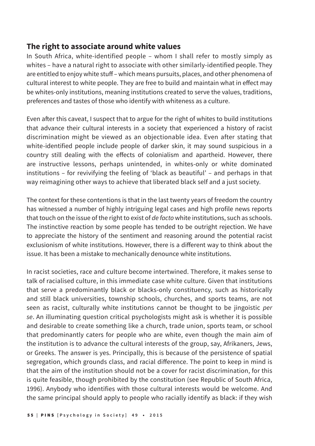## **The right to associate around white values**

In South Africa, white-identified people – whom I shall refer to mostly simply as whites – have a natural right to associate with other similarly-identified people. They are entitled to enjoy white stuff – which means pursuits, places, and other phenomena of cultural interest to white people. They are free to build and maintain what in effect may be whites-only institutions, meaning institutions created to serve the values, traditions, preferences and tastes of those who identify with whiteness as a culture.

Even after this caveat, I suspect that to argue for the right of whites to build institutions that advance their cultural interests in a society that experienced a history of racist discrimination might be viewed as an objectionable idea. Even after stating that white-identified people include people of darker skin, it may sound suspicious in a country still dealing with the effects of colonialism and apartheid. However, there are instructive lessons, perhaps unintended, in whites-only or white dominated institutions – for revivifying the feeling of 'black as beautiful' – and perhaps in that way reimagining other ways to achieve that liberated black self and a just society.

The context for these contentions is that in the last twenty years of freedom the country has witnessed a number of highly intriguing legal cases and high profile news reports that touch on the issue of the right to exist of *de facto* white institutions, such as schools. The instinctive reaction by some people has tended to be outright rejection. We have to appreciate the history of the sentiment and reasoning around the potential racist exclusionism of white institutions. However, there is a different way to think about the issue. It has been a mistake to mechanically denounce white institutions.

In racist societies, race and culture become intertwined. Therefore, it makes sense to talk of racialised culture, in this immediate case white culture. Given that institutions that serve a predominantly black or blacks-only constituency, such as historically and still black universities, township schools, churches, and sports teams, are not seen as racist, culturally white institutions cannot be thought to be jingoistic *per se*. An illuminating question critical psychologists might ask is whether it is possible and desirable to create something like a church, trade union, sports team, or school that predominantly caters for people who are white, even though the main aim of the institution is to advance the cultural interests of the group, say, Afrikaners, Jews, or Greeks. The answer is yes. Principally, this is because of the persistence of spatial segregation, which grounds class, and racial difference. The point to keep in mind is that the aim of the institution should not be a cover for racist discrimination, for this is quite feasible, though prohibited by the constitution (see Republic of South Africa, 1996). Anybody who identifies with those cultural interests would be welcome. And the same principal should apply to people who racially identify as black: if they wish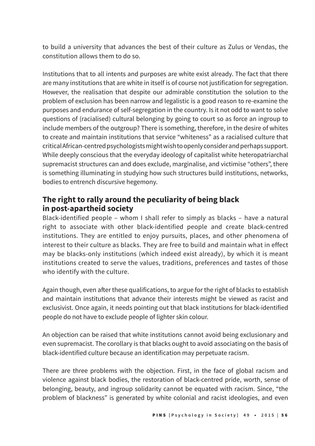to build a university that advances the best of their culture as Zulus or Vendas, the constitution allows them to do so.

Institutions that to all intents and purposes are white exist already. The fact that there are many institutions that are white in itself is of course not justification for segregation. However, the realisation that despite our admirable constitution the solution to the problem of exclusion has been narrow and legalistic is a good reason to re-examine the purposes and endurance of self-segregation in the country. Is it not odd to want to solve questions of (racialised) cultural belonging by going to court so as force an ingroup to include members of the outgroup? There is something, therefore, in the desire of whites to create and maintain institutions that service "whiteness" as a racialised culture that critical African-centred psychologists might wish to openly consider and perhaps support. While deeply conscious that the everyday ideology of capitalist white heteropatriarchal supremacist structures can and does exclude, marginalise, and victimise "others", there is something illuminating in studying how such structures build institutions, networks, bodies to entrench discursive hegemony.

# **The right to rally around the peculiarity of being black in post-apartheid society**

Black-identified people – whom I shall refer to simply as blacks – have a natural right to associate with other black-identified people and create black-centred institutions. They are entitled to enjoy pursuits, places, and other phenomena of interest to their culture as blacks. They are free to build and maintain what in effect may be blacks-only institutions (which indeed exist already), by which it is meant institutions created to serve the values, traditions, preferences and tastes of those who identify with the culture.

Again though, even after these qualifications, to argue for the right of blacks to establish and maintain institutions that advance their interests might be viewed as racist and exclusivist. Once again, it needs pointing out that black institutions for black-identified people do not have to exclude people of lighter skin colour.

An objection can be raised that white institutions cannot avoid being exclusionary and even supremacist. The corollary is that blacks ought to avoid associating on the basis of black-identified culture because an identification may perpetuate racism.

There are three problems with the objection. First, in the face of global racism and violence against black bodies, the restoration of black-centred pride, worth, sense of belonging, beauty, and ingroup solidarity cannot be equated with racism. Since, "the problem of blackness" is generated by white colonial and racist ideologies, and even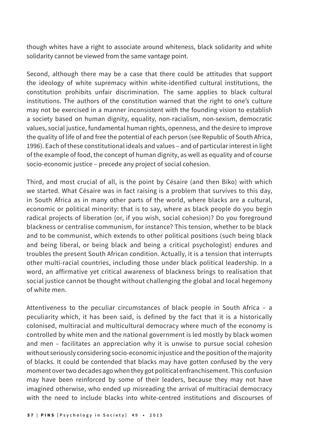though whites have a right to associate around whiteness, black solidarity and white solidarity cannot be viewed from the same vantage point.

Second, although there may be a case that there could be attitudes that support the ideology of white supremacy within white-identified cultural institutions, the constitution prohibits unfair discrimination. The same applies to black cultural institutions. The authors of the constitution warned that the right to one's culture may not be exercised in a manner inconsistent with the founding vision to establish a society based on human dignity, equality, non-racialism, non-sexism, democratic values, social justice, fundamental human rights, openness, and the desire to improve the quality of life of and free the potential of each person (see Republic of South Africa, 1996). Each of these constitutional ideals and values – and of particular interest in light of the example of food, the concept of human dignity, as well as equality and of course socio-economic justice – precede any project of social cohesion.

Third, and most crucial of all, is the point by Césaire (and then Biko) with which we started. What Césaire was in fact raising is a problem that survives to this day, in South Africa as in many other parts of the world, where blacks are a cultural, economic or political minority: that is to say, where as black people do you begin radical projects of liberation (or, if you wish, social cohesion)? Do you foreground blackness or centralise communism, for instance? This tension, whether to be black and to be communist, which extends to other political positions (such being black and being liberal, or being black and being a critical psychologist) endures and troubles the present South African condition. Actually, it is a tension that interrupts other multi-racial countries, including those under black political leadership. In a word, an affirmative yet critical awareness of blackness brings to realisation that social justice cannot be thought without challenging the global and local hegemony of white men.

Attentiveness to the peculiar circumstances of black people in South Africa – a peculiarity which, it has been said, is defined by the fact that it is a historically colonised, multiracial and multicultural democracy where much of the economy is controlled by white men and the national government is led mostly by black women and men – facilitates an appreciation why it is unwise to pursue social cohesion without seriously considering socio-economic injustice and the position of the majority of blacks. It could be contended that blacks may have gotten confused by the very moment over two decades ago when they got political enfranchisement. This confusion may have been reinforced by some of their leaders, because they may not have imagined otherwise, who ended up misreading the arrival of multiracial democracy with the need to include blacks into white-centred institutions and discourses of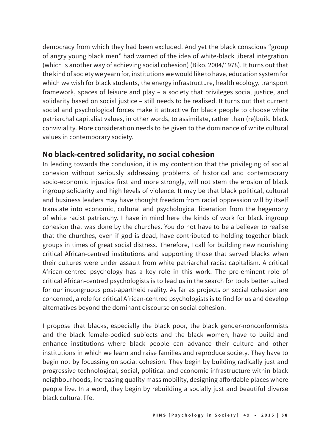democracy from which they had been excluded. And yet the black conscious "group of angry young black men" had warned of the idea of white-black liberal integration (which is another way of achieving social cohesion) (Biko, 2004/1978). It turns out that the kind of society we yearn for, institutions we would like to have, education system for which we wish for black students, the energy infrastructure, health ecology, transport framework, spaces of leisure and play – a society that privileges social justice, and solidarity based on social justice – still needs to be realised. It turns out that current social and psychological forces make it attractive for black people to choose white patriarchal capitalist values, in other words, to assimilate, rather than (re)build black conviviality. More consideration needs to be given to the dominance of white cultural values in contemporary society.

## **No black-centred solidarity, no social cohesion**

In leading towards the conclusion, it is my contention that the privileging of social cohesion without seriously addressing problems of historical and contemporary socio-economic injustice first and more strongly, will not stem the erosion of black ingroup solidarity and high levels of violence. It may be that black political, cultural and business leaders may have thought freedom from racial oppression will by itself translate into economic, cultural and psychological liberation from the hegemony of white racist patriarchy. I have in mind here the kinds of work for black ingroup cohesion that was done by the churches. You do not have to be a believer to realise that the churches, even if god is dead, have contributed to holding together black groups in times of great social distress. Therefore, I call for building new nourishing critical African-centred institutions and supporting those that served blacks when their cultures were under assault from white patriarchal racist capitalism. A critical African-centred psychology has a key role in this work. The pre-eminent role of critical African-centred psychologists is to lead us in the search for tools better suited for our incongruous post-apartheid reality. As far as projects on social cohesion are concerned, a role for critical African-centred psychologists is to find for us and develop alternatives beyond the dominant discourse on social cohesion.

I propose that blacks, especially the black poor, the black gender-nonconformists and the black female-bodied subjects and the black women, have to build and enhance institutions where black people can advance their culture and other institutions in which we learn and raise families and reproduce society. They have to begin not by focussing on social cohesion. They begin by building radically just and progressive technological, social, political and economic infrastructure within black neighbourhoods, increasing quality mass mobility, designing affordable places where people live. In a word, they begin by rebuilding a socially just and beautiful diverse black cultural life.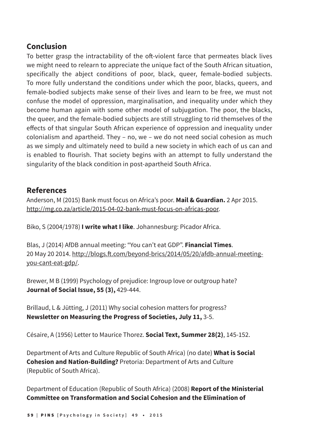# **Conclusion**

To better grasp the intractability of the oft-violent farce that permeates black lives we might need to relearn to appreciate the unique fact of the South African situation, specifically the abject conditions of poor, black, queer, female-bodied subjects. To more fully understand the conditions under which the poor, blacks, queers, and female-bodied subjects make sense of their lives and learn to be free, we must not confuse the model of oppression, marginalisation, and inequality under which they become human again with some other model of subjugation. The poor, the blacks, the queer, and the female-bodied subjects are still struggling to rid themselves of the effects of that singular South African experience of oppression and inequality under colonialism and apartheid. They – no, we – we do not need social cohesion as much as we simply and ultimately need to build a new society in which each of us can and is enabled to flourish. That society begins with an attempt to fully understand the singularity of the black condition in post-apartheid South Africa.

# **References**

Anderson, M (2015) Bank must focus on Africa's poor. **Mail & Guardian.** 2 Apr 2015. http://mg.co.za/article/2015-04-02-bank-must-focus-on-africas-poor.

Biko, S (2004/1978) **I write what I like**. Johannesburg: Picador Africa.

Blas, J (2014) AfDB annual meeting: "You can't eat GDP". **Financial Times**. 20 May 20 2014. http://blogs.ft.com/beyond-brics/2014/05/20/afdb-annual-meetingyou-cant-eat-gdp/.

Brewer, M B (1999) Psychology of prejudice: Ingroup love or outgroup hate? **Journal of Social Issue, 55 (3),** 429-444.

Brillaud, L & Jütting, J (2011) Why social cohesion matters for progress? **Newsletter on Measuring the Progress of Societies, July 11,** 3-5.

Césaire, A (1956) Letter to Maurice Thorez. **Social Text, Summer 28(2)**, 145-152.

Department of Arts and Culture Republic of South Africa) (no date) **What is Social Cohesion and Nation-Building?** Pretoria: Department of Arts and Culture (Republic of South Africa).

Department of Education (Republic of South Africa) (2008) **Report of the Ministerial Committee on Transformation and Social Cohesion and the Elimination of**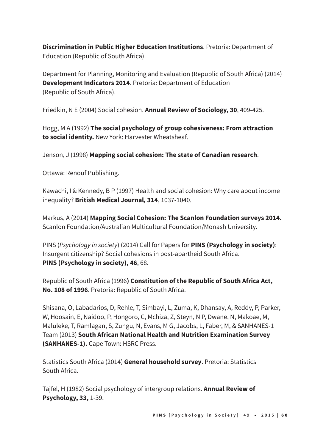**Discrimination in Public Higher Education Institutions**. Pretoria: Department of Education (Republic of South Africa).

Department for Planning, Monitoring and Evaluation (Republic of South Africa) (2014) **Development Indicators 2014**. Pretoria: Department of Education (Republic of South Africa).

Friedkin, N E (2004) Social cohesion. **Annual Review of Sociology, 30**, 409-425.

Hogg, M A (1992) **The social psychology of group cohesiveness: From attraction to social identity.** New York: Harvester Wheatsheaf.

Jenson, J (1998) **Mapping social cohesion: The state of Canadian research**.

Ottawa: Renouf Publishing.

Kawachi, I & Kennedy, B P (1997) Health and social cohesion: Why care about income inequality? **British Medical Journal***,* **314**, 1037-1040.

Markus, A (2014) **Mapping Social Cohesion: The Scanlon Foundation surveys 2014.**  Scanlon Foundation/Australian Multicultural Foundation/Monash University.

PINS (*Psychology in society*) (2014) Call for Papers for **PINS (Psychology in society)**: Insurgent citizenship? Social cohesions in post-apartheid South Africa. **PINS (Psychology in society), 46**, 68.

Republic of South Africa (1996**) Constitution of the Republic of South Africa Act, No. 108 of 1996**. Pretoria: Republic of South Africa.

Shisana, O, Labadarios, D, Rehle, T, Simbayi, L, Zuma, K, Dhansay, A, Reddy, P, Parker, W, Hoosain, E, Naidoo, P, Hongoro, C, Mchiza, Z, Steyn, N P, Dwane, N, Makoae, M, Maluleke, T, Ramlagan, S, Zungu, N, Evans, M G, Jacobs, L, Faber, M, & SANHANES-1 Team (2013) **South African National Health and Nutrition Examination Survey (SANHANES-1).** Cape Town: HSRC Press.

Statistics South Africa (2014) **General household survey**. Pretoria: Statistics South Africa.

Tajfel, H (1982) Social psychology of intergroup relations. **Annual Review of Psychology, 33,** 1-39.